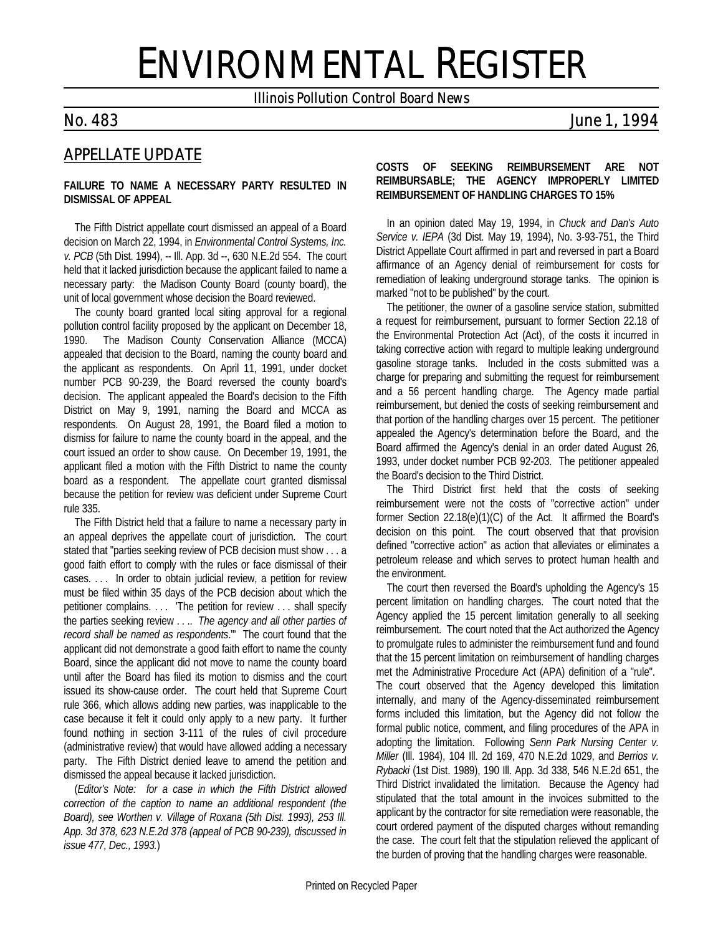# ENVIRONMENTAL REGISTER

*Illinois Pollution Control Board News*

# *No. 483 June 1, 1994*

# *APPELLATE UPDATE*

#### **FAILURE TO NAME A NECESSARY PARTY RESULTED IN DISMISSAL OF APPEAL**

The Fifth District appellate court dismissed an appeal of a Board decision on March 22, 1994, in *Environmental Control Systems, Inc. v. PCB* (5th Dist. 1994), -- Ill. App. 3d --, 630 N.E.2d 554. The court held that it lacked jurisdiction because the applicant failed to name a necessary party: the Madison County Board (county board), the unit of local government whose decision the Board reviewed.

The county board granted local siting approval for a regional pollution control facility proposed by the applicant on December 18, 1990. The Madison County Conservation Alliance (MCCA) appealed that decision to the Board, naming the county board and the applicant as respondents. On April 11, 1991, under docket number PCB 90-239, the Board reversed the county board's decision. The applicant appealed the Board's decision to the Fifth District on May 9, 1991, naming the Board and MCCA as respondents. On August 28, 1991, the Board filed a motion to dismiss for failure to name the county board in the appeal, and the court issued an order to show cause. On December 19, 1991, the applicant filed a motion with the Fifth District to name the county board as a respondent. The appellate court granted dismissal because the petition for review was deficient under Supreme Court rule 335.

The Fifth District held that a failure to name a necessary party in an appeal deprives the appellate court of jurisdiction. The court stated that "parties seeking review of PCB decision must show . . . a good faith effort to comply with the rules or face dismissal of their cases. . . . In order to obtain judicial review, a petition for review must be filed within 35 days of the PCB decision about which the petitioner complains. . . . 'The petition for review . . . shall specify the parties seeking review . . .. *The agency and all other parties of record shall be named as respondents*.'" The court found that the applicant did not demonstrate a good faith effort to name the county Board, since the applicant did not move to name the county board until after the Board has filed its motion to dismiss and the court issued its show-cause order. The court held that Supreme Court rule 366, which allows adding new parties, was inapplicable to the case because it felt it could only apply to a new party. It further found nothing in section 3-111 of the rules of civil procedure (administrative review) that would have allowed adding a necessary party. The Fifth District denied leave to amend the petition and dismissed the appeal because it lacked jurisdiction.

(*Editor's Note: for a case in which the Fifth District allowed correction of the caption to name an additional respondent (the Board), see Worthen v. Village of Roxana (5th Dist. 1993), 253 Ill. App. 3d 378, 623 N.E.2d 378 (appeal of PCB 90-239), discussed in issue 477, Dec., 1993.*)

### **COSTS OF SEEKING REIMBURSEMENT ARE NOT REIMBURSABLE; THE AGENCY IMPROPERLY LIMITED REIMBURSEMENT OF HANDLING CHARGES TO 15%**

In an opinion dated May 19, 1994, in *Chuck and Dan's Auto Service v. IEPA* (3d Dist. May 19, 1994), No. 3-93-751, the Third District Appellate Court affirmed in part and reversed in part a Board affirmance of an Agency denial of reimbursement for costs for remediation of leaking underground storage tanks. The opinion is marked "not to be published" by the court.

The petitioner, the owner of a gasoline service station, submitted a request for reimbursement, pursuant to former Section 22.18 of the Environmental Protection Act (Act), of the costs it incurred in taking corrective action with regard to multiple leaking underground gasoline storage tanks. Included in the costs submitted was a charge for preparing and submitting the request for reimbursement and a 56 percent handling charge. The Agency made partial reimbursement, but denied the costs of seeking reimbursement and that portion of the handling charges over 15 percent. The petitioner appealed the Agency's determination before the Board, and the Board affirmed the Agency's denial in an order dated August 26, 1993, under docket number PCB 92-203. The petitioner appealed the Board's decision to the Third District.

The Third District first held that the costs of seeking reimbursement were not the costs of "corrective action" under former Section 22.18(e)(1)(C) of the Act. It affirmed the Board's decision on this point. The court observed that that provision defined "corrective action" as action that alleviates or eliminates a petroleum release and which serves to protect human health and the environment.

The court then reversed the Board's upholding the Agency's 15 percent limitation on handling charges. The court noted that the Agency applied the 15 percent limitation generally to all seeking reimbursement. The court noted that the Act authorized the Agency to promulgate rules to administer the reimbursement fund and found that the 15 percent limitation on reimbursement of handling charges met the Administrative Procedure Act (APA) definition of a "rule". The court observed that the Agency developed this limitation internally, and many of the Agency-disseminated reimbursement forms included this limitation, but the Agency did not follow the formal public notice, comment, and filing procedures of the APA in adopting the limitation. Following *Senn Park Nursing Center v. Miller* (Ill. 1984), 104 Ill. 2d 169, 470 N.E.2d 1029, and *Berrios v. Rybacki* (1st Dist. 1989), 190 Ill. App. 3d 338, 546 N.E.2d 651, the Third District invalidated the limitation. Because the Agency had stipulated that the total amount in the invoices submitted to the applicant by the contractor for site remediation were reasonable, the court ordered payment of the disputed charges without remanding the case. The court felt that the stipulation relieved the applicant of the burden of proving that the handling charges were reasonable.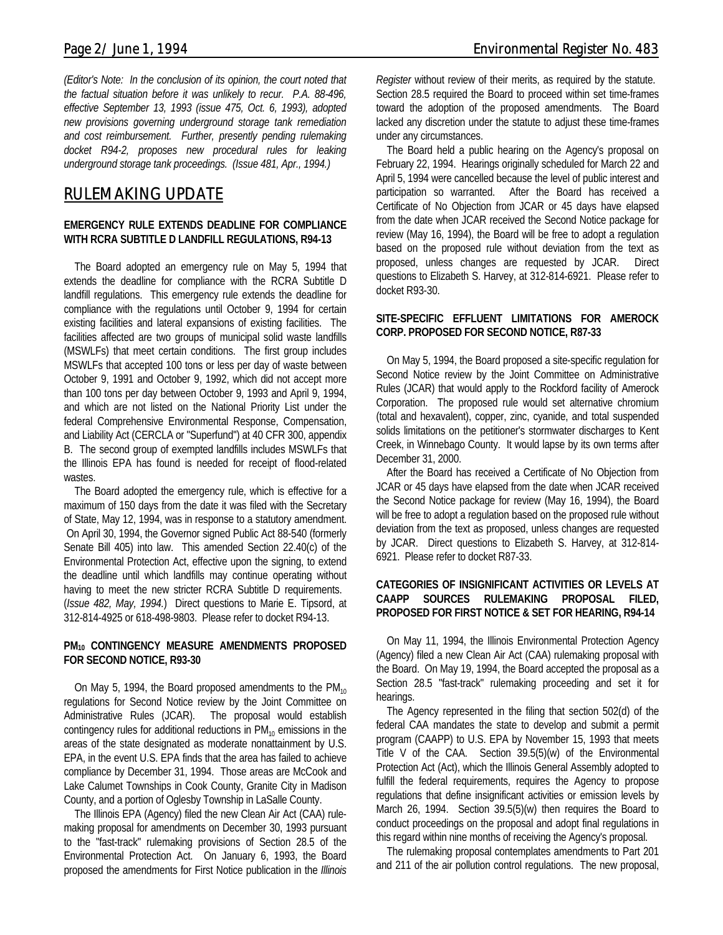*(Editor's Note: In the conclusion of its opinion, the court noted that the factual situation before it was unlikely to recur. P.A. 88-496, effective September 13, 1993 (issue 475, Oct. 6, 1993), adopted new provisions governing underground storage tank remediation and cost reimbursement. Further, presently pending rulemaking docket R94-2, proposes new procedural rules for leaking underground storage tank proceedings. (Issue 481, Apr., 1994.)*

# *RULEMAKING UPDATE*

#### **EMERGENCY RULE EXTENDS DEADLINE FOR COMPLIANCE WITH RCRA SUBTITLE D LANDFILL REGULATIONS, R94-13**

The Board adopted an emergency rule on May 5, 1994 that extends the deadline for compliance with the RCRA Subtitle D landfill regulations. This emergency rule extends the deadline for compliance with the regulations until October 9, 1994 for certain existing facilities and lateral expansions of existing facilities. The facilities affected are two groups of municipal solid waste landfills (MSWLFs) that meet certain conditions. The first group includes MSWLFs that accepted 100 tons or less per day of waste between October 9, 1991 and October 9, 1992, which did not accept more than 100 tons per day between October 9, 1993 and April 9, 1994, and which are not listed on the National Priority List under the federal Comprehensive Environmental Response, Compensation, and Liability Act (CERCLA or "Superfund") at 40 CFR 300, appendix B. The second group of exempted landfills includes MSWLFs that the Illinois EPA has found is needed for receipt of flood-related wastes.

The Board adopted the emergency rule, which is effective for a maximum of 150 days from the date it was filed with the Secretary of State, May 12, 1994, was in response to a statutory amendment. On April 30, 1994, the Governor signed Public Act 88-540 (formerly Senate Bill 405) into law. This amended Section 22.40(c) of the Environmental Protection Act, effective upon the signing, to extend the deadline until which landfills may continue operating without having to meet the new stricter RCRA Subtitle D requirements. (*Issue 482, May, 1994.*) Direct questions to Marie E. Tipsord, at 312-814-4925 or 618-498-9803. Please refer to docket R94-13.

#### **PM10 CONTINGENCY MEASURE AMENDMENTS PROPOSED FOR SECOND NOTICE, R93-30**

On May 5, 1994, the Board proposed amendments to the  $PM_{10}$ regulations for Second Notice review by the Joint Committee on Administrative Rules (JCAR). The proposal would establish contingency rules for additional reductions in  $PM_{10}$  emissions in the areas of the state designated as moderate nonattainment by U.S. EPA, in the event U.S. EPA finds that the area has failed to achieve compliance by December 31, 1994. Those areas are McCook and Lake Calumet Townships in Cook County, Granite City in Madison County, and a portion of Oglesby Township in LaSalle County.

The Illinois EPA (Agency) filed the new Clean Air Act (CAA) rulemaking proposal for amendments on December 30, 1993 pursuant to the "fast-track" rulemaking provisions of Section 28.5 of the Environmental Protection Act. On January 6, 1993, the Board proposed the amendments for First Notice publication in the *Illinois* *Register* without review of their merits, as required by the statute. Section 28.5 required the Board to proceed within set time-frames toward the adoption of the proposed amendments. The Board lacked any discretion under the statute to adjust these time-frames under any circumstances.

The Board held a public hearing on the Agency's proposal on February 22, 1994. Hearings originally scheduled for March 22 and April 5, 1994 were cancelled because the level of public interest and participation so warranted. After the Board has received a Certificate of No Objection from JCAR or 45 days have elapsed from the date when JCAR received the Second Notice package for review (May 16, 1994), the Board will be free to adopt a regulation based on the proposed rule without deviation from the text as proposed, unless changes are requested by JCAR. Direct questions to Elizabeth S. Harvey, at 312-814-6921. Please refer to docket R93-30.

#### **SITE-SPECIFIC EFFLUENT LIMITATIONS FOR AMEROCK CORP. PROPOSED FOR SECOND NOTICE, R87-33**

On May 5, 1994, the Board proposed a site-specific regulation for Second Notice review by the Joint Committee on Administrative Rules (JCAR) that would apply to the Rockford facility of Amerock Corporation. The proposed rule would set alternative chromium (total and hexavalent), copper, zinc, cyanide, and total suspended solids limitations on the petitioner's stormwater discharges to Kent Creek, in Winnebago County. It would lapse by its own terms after December 31, 2000.

After the Board has received a Certificate of No Objection from JCAR or 45 days have elapsed from the date when JCAR received the Second Notice package for review (May 16, 1994), the Board will be free to adopt a regulation based on the proposed rule without deviation from the text as proposed, unless changes are requested by JCAR. Direct questions to Elizabeth S. Harvey, at 312-814- 6921. Please refer to docket R87-33.

#### **CATEGORIES OF INSIGNIFICANT ACTIVITIES OR LEVELS AT CAAPP SOURCES RULEMAKING PROPOSAL FILED, PROPOSED FOR FIRST NOTICE & SET FOR HEARING, R94-14**

On May 11, 1994, the Illinois Environmental Protection Agency (Agency) filed a new Clean Air Act (CAA) rulemaking proposal with the Board. On May 19, 1994, the Board accepted the proposal as a Section 28.5 "fast-track" rulemaking proceeding and set it for hearings.

The Agency represented in the filing that section 502(d) of the federal CAA mandates the state to develop and submit a permit program (CAAPP) to U.S. EPA by November 15, 1993 that meets Title V of the CAA. Section 39.5(5)(w) of the Environmental Protection Act (Act), which the Illinois General Assembly adopted to fulfill the federal requirements, requires the Agency to propose regulations that define insignificant activities or emission levels by March 26, 1994. Section 39.5(5)(w) then requires the Board to conduct proceedings on the proposal and adopt final regulations in this regard within nine months of receiving the Agency's proposal.

The rulemaking proposal contemplates amendments to Part 201 and 211 of the air pollution control regulations. The new proposal,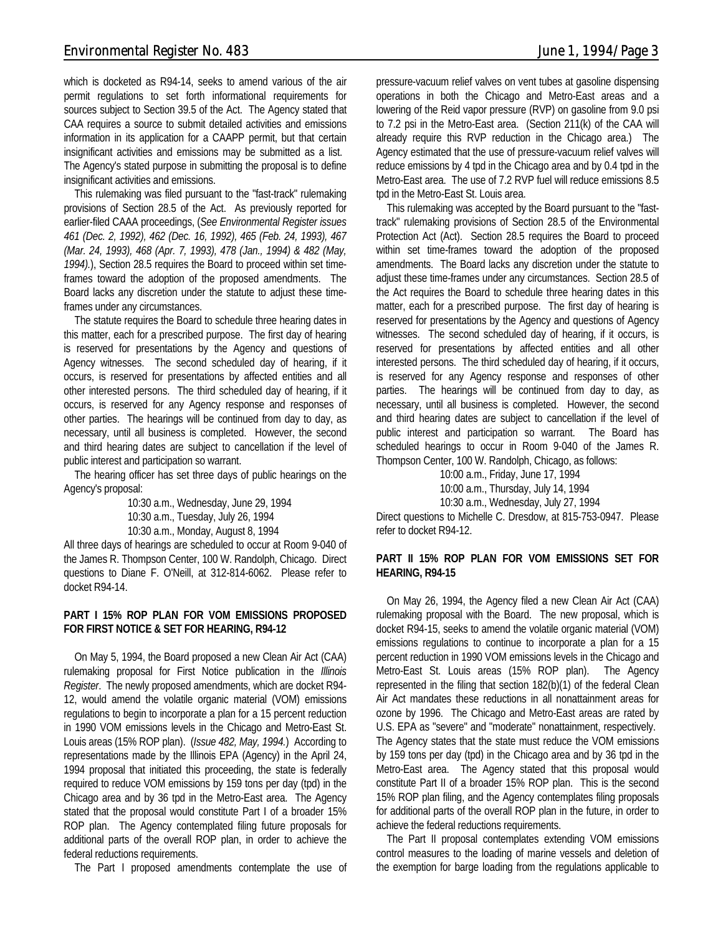which is docketed as R94-14, seeks to amend various of the air permit regulations to set forth informational requirements for sources subject to Section 39.5 of the Act. The Agency stated that CAA requires a source to submit detailed activities and emissions information in its application for a CAAPP permit, but that certain insignificant activities and emissions may be submitted as a list. The Agency's stated purpose in submitting the proposal is to define insignificant activities and emissions.

This rulemaking was filed pursuant to the "fast-track" rulemaking provisions of Section 28.5 of the Act. As previously reported for earlier-filed CAAA proceedings, (*See Environmental Register issues 461 (Dec. 2, 1992), 462 (Dec. 16, 1992), 465 (Feb. 24, 1993), 467 (Mar. 24, 1993), 468 (Apr. 7, 1993), 478 (Jan., 1994) & 482 (May, 1994).*), Section 28.5 requires the Board to proceed within set timeframes toward the adoption of the proposed amendments. The Board lacks any discretion under the statute to adjust these timeframes under any circumstances.

The statute requires the Board to schedule three hearing dates in this matter, each for a prescribed purpose. The first day of hearing is reserved for presentations by the Agency and questions of Agency witnesses. The second scheduled day of hearing, if it occurs, is reserved for presentations by affected entities and all other interested persons. The third scheduled day of hearing, if it occurs, is reserved for any Agency response and responses of other parties. The hearings will be continued from day to day, as necessary, until all business is completed. However, the second and third hearing dates are subject to cancellation if the level of public interest and participation so warrant.

The hearing officer has set three days of public hearings on the Agency's proposal:

> 10:30 a.m., Wednesday, June 29, 1994 10:30 a.m., Tuesday, July 26, 1994 10:30 a.m., Monday, August 8, 1994

All three days of hearings are scheduled to occur at Room 9-040 of the James R. Thompson Center, 100 W. Randolph, Chicago. Direct questions to Diane F. O'Neill, at 312-814-6062. Please refer to docket R94-14.

#### **PART I 15% ROP PLAN FOR VOM EMISSIONS PROPOSED FOR FIRST NOTICE & SET FOR HEARING, R94-12**

On May 5, 1994, the Board proposed a new Clean Air Act (CAA) rulemaking proposal for First Notice publication in the *Illinois Register*. The newly proposed amendments, which are docket R94- 12, would amend the volatile organic material (VOM) emissions regulations to begin to incorporate a plan for a 15 percent reduction in 1990 VOM emissions levels in the Chicago and Metro-East St. Louis areas (15% ROP plan). (*Issue 482, May, 1994.*) According to representations made by the Illinois EPA (Agency) in the April 24, 1994 proposal that initiated this proceeding, the state is federally required to reduce VOM emissions by 159 tons per day (tpd) in the Chicago area and by 36 tpd in the Metro-East area. The Agency stated that the proposal would constitute Part I of a broader 15% ROP plan. The Agency contemplated filing future proposals for additional parts of the overall ROP plan, in order to achieve the federal reductions requirements.

The Part I proposed amendments contemplate the use of

pressure-vacuum relief valves on vent tubes at gasoline dispensing operations in both the Chicago and Metro-East areas and a lowering of the Reid vapor pressure (RVP) on gasoline from 9.0 psi to 7.2 psi in the Metro-East area. (Section 211(k) of the CAA will already require this RVP reduction in the Chicago area.) The Agency estimated that the use of pressure-vacuum relief valves will reduce emissions by 4 tpd in the Chicago area and by 0.4 tpd in the Metro-East area. The use of 7.2 RVP fuel will reduce emissions 8.5 tpd in the Metro-East St. Louis area.

This rulemaking was accepted by the Board pursuant to the "fasttrack" rulemaking provisions of Section 28.5 of the Environmental Protection Act (Act). Section 28.5 requires the Board to proceed within set time-frames toward the adoption of the proposed amendments. The Board lacks any discretion under the statute to adjust these time-frames under any circumstances. Section 28.5 of the Act requires the Board to schedule three hearing dates in this matter, each for a prescribed purpose. The first day of hearing is reserved for presentations by the Agency and questions of Agency witnesses. The second scheduled day of hearing, if it occurs, is reserved for presentations by affected entities and all other interested persons. The third scheduled day of hearing, if it occurs, is reserved for any Agency response and responses of other parties. The hearings will be continued from day to day, as necessary, until all business is completed. However, the second and third hearing dates are subject to cancellation if the level of public interest and participation so warrant. The Board has scheduled hearings to occur in Room 9-040 of the James R. Thompson Center, 100 W. Randolph, Chicago, as follows:

10:00 a.m., Friday, June 17, 1994

10:00 a.m., Thursday, July 14, 1994

10:30 a.m., Wednesday, July 27, 1994

Direct questions to Michelle C. Dresdow, at 815-753-0947. Please refer to docket R94-12.

#### **PART II 15% ROP PLAN FOR VOM EMISSIONS SET FOR HEARING, R94-15**

On May 26, 1994, the Agency filed a new Clean Air Act (CAA) rulemaking proposal with the Board. The new proposal, which is docket R94-15, seeks to amend the volatile organic material (VOM) emissions regulations to continue to incorporate a plan for a 15 percent reduction in 1990 VOM emissions levels in the Chicago and Metro-East St. Louis areas (15% ROP plan). The Agency represented in the filing that section 182(b)(1) of the federal Clean Air Act mandates these reductions in all nonattainment areas for ozone by 1996. The Chicago and Metro-East areas are rated by U.S. EPA as "severe" and "moderate" nonattainment, respectively. The Agency states that the state must reduce the VOM emissions by 159 tons per day (tpd) in the Chicago area and by 36 tpd in the Metro-East area. The Agency stated that this proposal would constitute Part II of a broader 15% ROP plan. This is the second 15% ROP plan filing, and the Agency contemplates filing proposals for additional parts of the overall ROP plan in the future, in order to achieve the federal reductions requirements.

The Part II proposal contemplates extending VOM emissions control measures to the loading of marine vessels and deletion of the exemption for barge loading from the regulations applicable to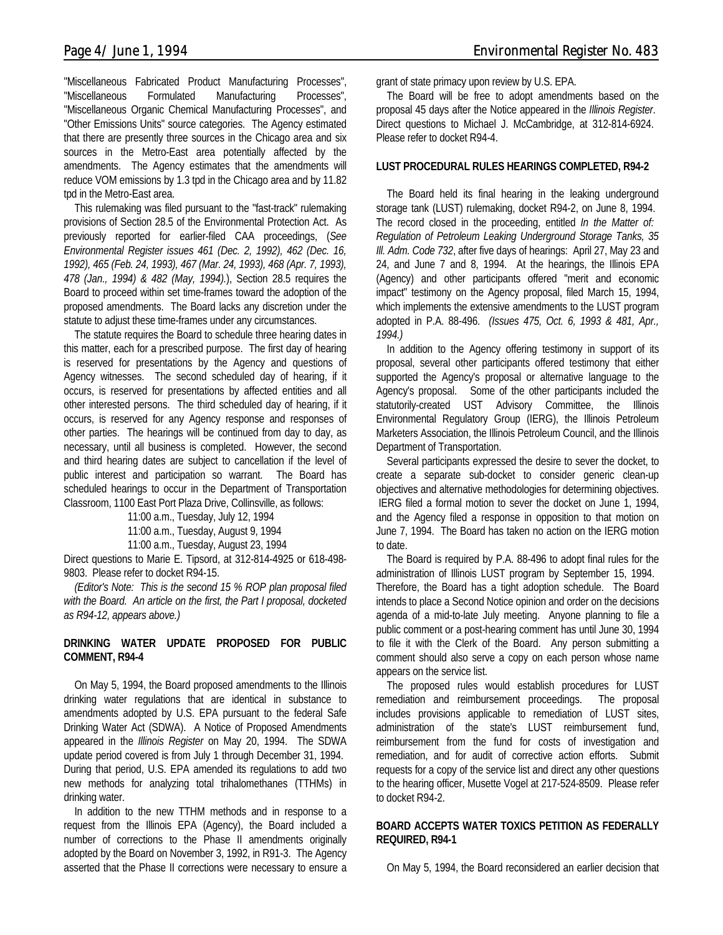"Miscellaneous Fabricated Product Manufacturing Processes", "Miscellaneous Formulated Manufacturing Processes", "Miscellaneous Organic Chemical Manufacturing Processes", and "Other Emissions Units" source categories. The Agency estimated that there are presently three sources in the Chicago area and six sources in the Metro-East area potentially affected by the amendments. The Agency estimates that the amendments will reduce VOM emissions by 1.3 tpd in the Chicago area and by 11.82 tpd in the Metro-East area.

This rulemaking was filed pursuant to the "fast-track" rulemaking provisions of Section 28.5 of the Environmental Protection Act. As previously reported for earlier-filed CAA proceedings, (*See Environmental Register issues 461 (Dec. 2, 1992), 462 (Dec. 16, 1992), 465 (Feb. 24, 1993), 467 (Mar. 24, 1993), 468 (Apr. 7, 1993), 478 (Jan., 1994) & 482 (May, 1994).*), Section 28.5 requires the Board to proceed within set time-frames toward the adoption of the proposed amendments. The Board lacks any discretion under the statute to adjust these time-frames under any circumstances.

The statute requires the Board to schedule three hearing dates in this matter, each for a prescribed purpose. The first day of hearing is reserved for presentations by the Agency and questions of Agency witnesses. The second scheduled day of hearing, if it occurs, is reserved for presentations by affected entities and all other interested persons. The third scheduled day of hearing, if it occurs, is reserved for any Agency response and responses of other parties. The hearings will be continued from day to day, as necessary, until all business is completed. However, the second and third hearing dates are subject to cancellation if the level of public interest and participation so warrant. The Board has scheduled hearings to occur in the Department of Transportation Classroom, 1100 East Port Plaza Drive, Collinsville, as follows:

11:00 a.m., Tuesday, July 12, 1994

11:00 a.m., Tuesday, August 9, 1994

11:00 a.m., Tuesday, August 23, 1994

Direct questions to Marie E. Tipsord, at 312-814-4925 or 618-498- 9803. Please refer to docket R94-15.

*(Editor's Note: This is the second 15 % ROP plan proposal filed with the Board. An article on the first, the Part I proposal, docketed as R94-12, appears above.)*

#### **DRINKING WATER UPDATE PROPOSED FOR PUBLIC COMMENT, R94-4**

On May 5, 1994, the Board proposed amendments to the Illinois drinking water regulations that are identical in substance to amendments adopted by U.S. EPA pursuant to the federal Safe Drinking Water Act (SDWA). A Notice of Proposed Amendments appeared in the *Illinois Register* on May 20, 1994. The SDWA update period covered is from July 1 through December 31, 1994. During that period, U.S. EPA amended its regulations to add two new methods for analyzing total trihalomethanes (TTHMs) in drinking water.

In addition to the new TTHM methods and in response to a request from the Illinois EPA (Agency), the Board included a number of corrections to the Phase II amendments originally adopted by the Board on November 3, 1992, in R91-3. The Agency asserted that the Phase II corrections were necessary to ensure a

grant of state primacy upon review by U.S. EPA.

The Board will be free to adopt amendments based on the proposal 45 days after the Notice appeared in the *Illinois Register*. Direct questions to Michael J. McCambridge, at 312-814-6924. Please refer to docket R94-4.

#### **LUST PROCEDURAL RULES HEARINGS COMPLETED, R94-2**

The Board held its final hearing in the leaking underground storage tank (LUST) rulemaking, docket R94-2, on June 8, 1994. The record closed in the proceeding, entitled *In the Matter of: Regulation of Petroleum Leaking Underground Storage Tanks, 35 Ill. Adm. Code 732*, after five days of hearings: April 27, May 23 and 24, and June 7 and 8, 1994. At the hearings, the Illinois EPA (Agency) and other participants offered "merit and economic impact" testimony on the Agency proposal, filed March 15, 1994, which implements the extensive amendments to the LUST program adopted in P.A. 88-496. *(Issues 475, Oct. 6, 1993 & 481, Apr., 1994.)*

In addition to the Agency offering testimony in support of its proposal, several other participants offered testimony that either supported the Agency's proposal or alternative language to the Agency's proposal. Some of the other participants included the statutorily-created UST Advisory Committee, the Illinois Environmental Regulatory Group (IERG), the Illinois Petroleum Marketers Association, the Illinois Petroleum Council, and the Illinois Department of Transportation.

Several participants expressed the desire to sever the docket, to create a separate sub-docket to consider generic clean-up objectives and alternative methodologies for determining objectives. IERG filed a formal motion to sever the docket on June 1, 1994, and the Agency filed a response in opposition to that motion on June 7, 1994. The Board has taken no action on the IERG motion to date.

The Board is required by P.A. 88-496 to adopt final rules for the administration of Illinois LUST program by September 15, 1994. Therefore, the Board has a tight adoption schedule. The Board intends to place a Second Notice opinion and order on the decisions agenda of a mid-to-late July meeting. Anyone planning to file a public comment or a post-hearing comment has until June 30, 1994 to file it with the Clerk of the Board. Any person submitting a comment should also serve a copy on each person whose name appears on the service list.

The proposed rules would establish procedures for LUST remediation and reimbursement proceedings. The proposal includes provisions applicable to remediation of LUST sites, administration of the state's LUST reimbursement fund, reimbursement from the fund for costs of investigation and remediation, and for audit of corrective action efforts. Submit requests for a copy of the service list and direct any other questions to the hearing officer, Musette Vogel at 217-524-8509. Please refer to docket R94-2.

#### **BOARD ACCEPTS WATER TOXICS PETITION AS FEDERALLY REQUIRED, R94-1**

On May 5, 1994, the Board reconsidered an earlier decision that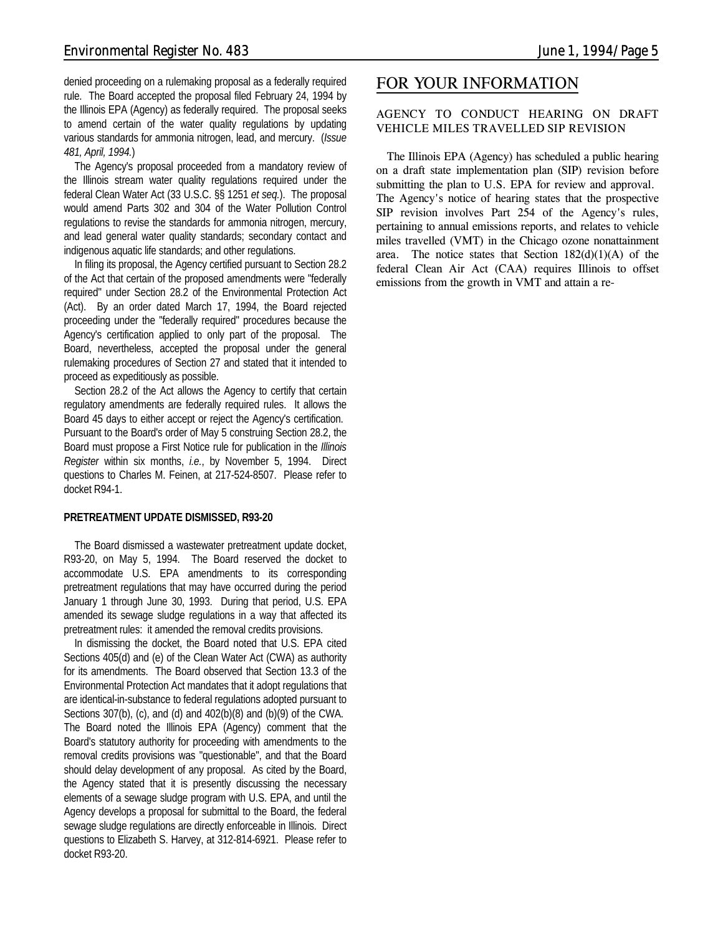denied proceeding on a rulemaking proposal as a federally required rule. The Board accepted the proposal filed February 24, 1994 by the Illinois EPA (Agency) as federally required. The proposal seeks to amend certain of the water quality regulations by updating various standards for ammonia nitrogen, lead, and mercury. (*Issue 481, April, 1994.*)

The Agency's proposal proceeded from a mandatory review of the Illinois stream water quality regulations required under the federal Clean Water Act (33 U.S.C. §§ 1251 *et seq.*). The proposal would amend Parts 302 and 304 of the Water Pollution Control regulations to revise the standards for ammonia nitrogen, mercury, and lead general water quality standards; secondary contact and indigenous aquatic life standards; and other regulations.

In filing its proposal, the Agency certified pursuant to Section 28.2 of the Act that certain of the proposed amendments were "federally required" under Section 28.2 of the Environmental Protection Act (Act). By an order dated March 17, 1994, the Board rejected proceeding under the "federally required" procedures because the Agency's certification applied to only part of the proposal. The Board, nevertheless, accepted the proposal under the general rulemaking procedures of Section 27 and stated that it intended to proceed as expeditiously as possible.

Section 28.2 of the Act allows the Agency to certify that certain regulatory amendments are federally required rules. It allows the Board 45 days to either accept or reject the Agency's certification. Pursuant to the Board's order of May 5 construing Section 28.2, the Board must propose a First Notice rule for publication in the *Illinois Register* within six months, *i.e.*, by November 5, 1994. Direct questions to Charles M. Feinen, at 217-524-8507. Please refer to docket R94-1.

#### **PRETREATMENT UPDATE DISMISSED, R93-20**

The Board dismissed a wastewater pretreatment update docket, R93-20, on May 5, 1994. The Board reserved the docket to accommodate U.S. EPA amendments to its corresponding pretreatment regulations that may have occurred during the period January 1 through June 30, 1993. During that period, U.S. EPA amended its sewage sludge regulations in a way that affected its pretreatment rules: it amended the removal credits provisions.

In dismissing the docket, the Board noted that U.S. EPA cited Sections 405(d) and (e) of the Clean Water Act (CWA) as authority for its amendments. The Board observed that Section 13.3 of the Environmental Protection Act mandates that it adopt regulations that are identical-in-substance to federal regulations adopted pursuant to Sections 307(b), (c), and (d) and 402(b)(8) and (b)(9) of the CWA. The Board noted the Illinois EPA (Agency) comment that the Board's statutory authority for proceeding with amendments to the removal credits provisions was "questionable", and that the Board should delay development of any proposal. As cited by the Board, the Agency stated that it is presently discussing the necessary elements of a sewage sludge program with U.S. EPA, and until the Agency develops a proposal for submittal to the Board, the federal sewage sludge regulations are directly enforceable in Illinois. Direct questions to Elizabeth S. Harvey, at 312-814-6921. Please refer to docket R93-20.

# *FOR YOUR INFORMATION*

#### **AGENCY TO CONDUCT HEARING ON DRAFT VEHICLE MILES TRAVELLED SIP REVISION**

The Illinois EPA (Agency) has scheduled a public hearing on a draft state implementation plan (SIP) revision before submitting the plan to U.S. EPA for review and approval. The Agency's notice of hearing states that the prospective SIP revision involves Part 254 of the Agency's rules, pertaining to annual emissions reports, and relates to vehicle miles travelled (VMT) in the Chicago ozone nonattainment area. The notice states that Section  $182(d)(1)(A)$  of the federal Clean Air Act (CAA) requires Illinois to offset emissions from the growth in VMT and attain a re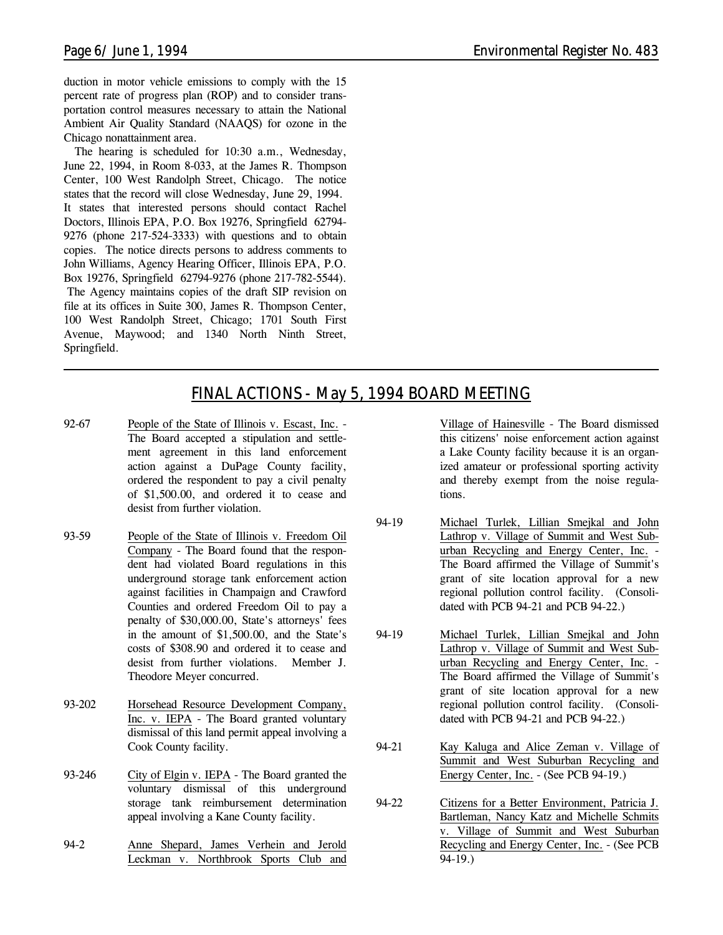duction in motor vehicle emissions to comply with the 15 percent rate of progress plan (ROP) and to consider transportation control measures necessary to attain the National Ambient Air Quality Standard (NAAQS) for ozone in the Chicago nonattainment area.

The hearing is scheduled for 10:30 a.m., Wednesday, June 22, 1994, in Room 8-033, at the James R. Thompson Center, 100 West Randolph Street, Chicago. The notice states that the record will close Wednesday, June 29, 1994. It states that interested persons should contact Rachel Doctors, Illinois EPA, P.O. Box 19276, Springfield 62794- 9276 (phone 217-524-3333) with questions and to obtain copies. The notice directs persons to address comments to John Williams, Agency Hearing Officer, Illinois EPA, P.O. Box 19276, Springfield 62794-9276 (phone 217-782-5544). The Agency maintains copies of the draft SIP revision on file at its offices in Suite 300, James R. Thompson Center, 100 West Randolph Street, Chicago; 1701 South First Avenue, Maywood; and 1340 North Ninth Street, Springfield.

# *FINAL ACTIONS - May 5, 1994 BOARD MEETING*

- 92-67 People of the State of Illinois v. Escast, Inc. The Board accepted a stipulation and settlement agreement in this land enforcement action against a DuPage County facility, ordered the respondent to pay a civil penalty of \$1,500.00, and ordered it to cease and desist from further violation.
- 93-59 People of the State of Illinois v. Freedom Oil Company - The Board found that the respondent had violated Board regulations in this underground storage tank enforcement action against facilities in Champaign and Crawford Counties and ordered Freedom Oil to pay a penalty of \$30,000.00, State's attorneys' fees in the amount of \$1,500.00, and the State's costs of \$308.90 and ordered it to cease and desist from further violations. Member J. Theodore Meyer concurred.
- 93-202 Horsehead Resource Development Company, Inc. v. IEPA - The Board granted voluntary dismissal of this land permit appeal involving a Cook County facility.
- 93-246 City of Elgin v. IEPA The Board granted the voluntary dismissal of this underground storage tank reimbursement determination appeal involving a Kane County facility.
- 94-2 Anne Shepard, James Verhein and Jerold Leckman v. Northbrook Sports Club and

Village of Hainesville - The Board dismissed this citizens' noise enforcement action against a Lake County facility because it is an organized amateur or professional sporting activity and thereby exempt from the noise regulations.

- 94-19 Michael Turlek, Lillian Smejkal and John Lathrop v. Village of Summit and West Suburban Recycling and Energy Center, Inc. - The Board affirmed the Village of Summit's grant of site location approval for a new regional pollution control facility. (Consolidated with PCB 94-21 and PCB 94-22.)
- 94-19 Michael Turlek, Lillian Smejkal and John Lathrop v. Village of Summit and West Suburban Recycling and Energy Center, Inc. - The Board affirmed the Village of Summit's grant of site location approval for a new regional pollution control facility. (Consolidated with PCB 94-21 and PCB 94-22.)
- 94-21 Kay Kaluga and Alice Zeman v. Village of Summit and West Suburban Recycling and Energy Center, Inc. - (See PCB 94-19.)
- 94-22 Citizens for a Better Environment, Patricia J. Bartleman, Nancy Katz and Michelle Schmits v. Village of Summit and West Suburban Recycling and Energy Center, Inc. - (See PCB 94-19.)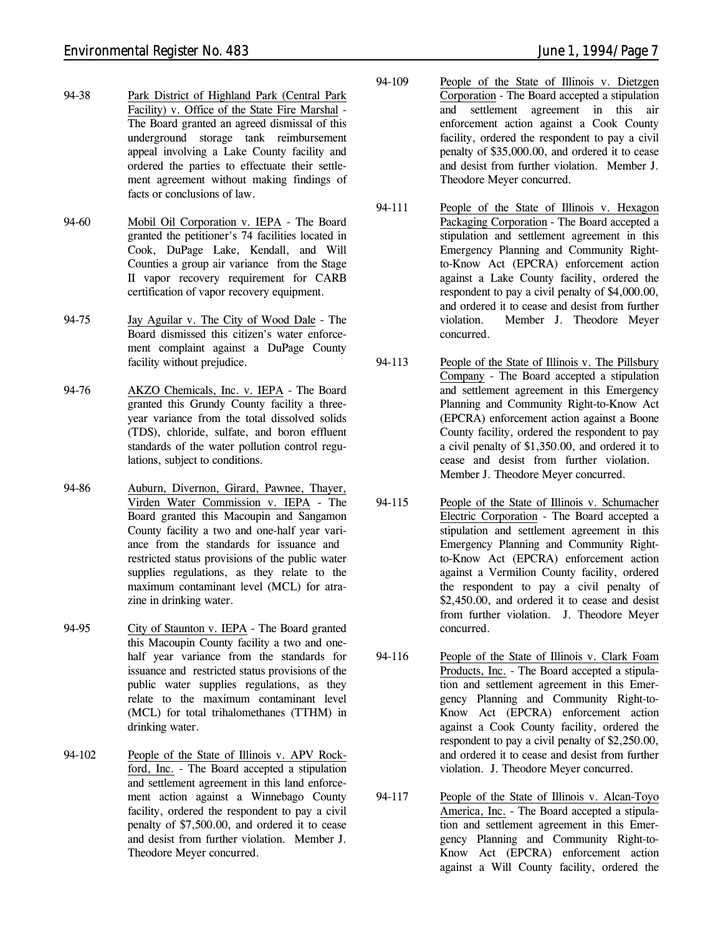- 94-38 Park District of Highland Park (Central Park Facility) v. Office of the State Fire Marshal - The Board granted an agreed dismissal of this underground storage tank reimbursement appeal involving a Lake County facility and ordered the parties to effectuate their settlement agreement without making findings of facts or conclusions of law.
- 94-60 Mobil Oil Corporation v. IEPA The Board granted the petitioner's 74 facilities located in Cook, DuPage Lake, Kendall, and Will Counties a group air variance from the Stage II vapor recovery requirement for CARB certification of vapor recovery equipment.
- 94-75 Jay Aguilar v. The City of Wood Dale The Board dismissed this citizen's water enforcement complaint against a DuPage County facility without prejudice.
- 94-76 AKZO Chemicals, Inc. v. IEPA The Board granted this Grundy County facility a threeyear variance from the total dissolved solids (TDS), chloride, sulfate, and boron effluent standards of the water pollution control regulations, subject to conditions.
- 94-86 Auburn, Divernon, Girard, Pawnee, Thayer, Virden Water Commission v. IEPA - The Board granted this Macoupin and Sangamon County facility a two and one-half year variance from the standards for issuance and restricted status provisions of the public water supplies regulations, as they relate to the maximum contaminant level (MCL) for atrazine in drinking water.
- 94-95 City of Staunton v. IEPA The Board granted this Macoupin County facility a two and onehalf year variance from the standards for issuance and restricted status provisions of the public water supplies regulations, as they relate to the maximum contaminant level (MCL) for total trihalomethanes (TTHM) in drinking water.
- 94-102 People of the State of Illinois v. APV Rockford, Inc. - The Board accepted a stipulation and settlement agreement in this land enforcement action against a Winnebago County facility, ordered the respondent to pay a civil penalty of \$7,500.00, and ordered it to cease and desist from further violation. Member J. Theodore Meyer concurred.
- 94-109 People of the State of Illinois v. Dietzgen Corporation - The Board accepted a stipulation and settlement agreement in this air enforcement action against a Cook County facility, ordered the respondent to pay a civil penalty of \$35,000.00, and ordered it to cease and desist from further violation. Member J. Theodore Meyer concurred.
- 94-111 People of the State of Illinois v. Hexagon Packaging Corporation - The Board accepted a stipulation and settlement agreement in this Emergency Planning and Community Rightto-Know Act (EPCRA) enforcement action against a Lake County facility, ordered the respondent to pay a civil penalty of \$4,000.00, and ordered it to cease and desist from further violation. Member J. Theodore Meyer concurred.
- 94-113 People of the State of Illinois v. The Pillsbury Company - The Board accepted a stipulation and settlement agreement in this Emergency Planning and Community Right-to-Know Act (EPCRA) enforcement action against a Boone County facility, ordered the respondent to pay a civil penalty of \$1,350.00, and ordered it to cease and desist from further violation. Member J. Theodore Meyer concurred.
- 94-115 People of the State of Illinois v. Schumacher Electric Corporation - The Board accepted a stipulation and settlement agreement in this Emergency Planning and Community Rightto-Know Act (EPCRA) enforcement action against a Vermilion County facility, ordered the respondent to pay a civil penalty of \$2,450.00, and ordered it to cease and desist from further violation. J. Theodore Meyer concurred.
- 94-116 People of the State of Illinois v. Clark Foam Products, Inc. - The Board accepted a stipulation and settlement agreement in this Emergency Planning and Community Right-to-Know Act (EPCRA) enforcement action against a Cook County facility, ordered the respondent to pay a civil penalty of \$2,250.00, and ordered it to cease and desist from further violation. J. Theodore Meyer concurred.
- 94-117 People of the State of Illinois v. Alcan-Toyo America, Inc. - The Board accepted a stipulation and settlement agreement in this Emergency Planning and Community Right-to-Know Act (EPCRA) enforcement action against a Will County facility, ordered the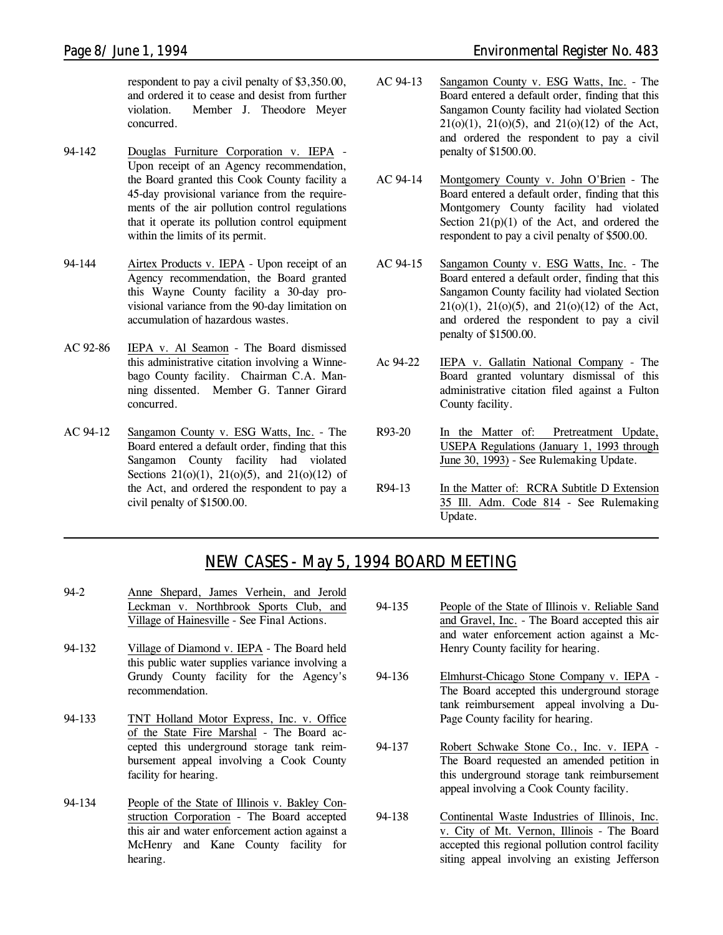respondent to pay a civil penalty of \$3,350.00, and ordered it to cease and desist from further violation. Member J. Theodore Meyer concurred.

- 94-142 Douglas Furniture Corporation v. IEPA Upon receipt of an Agency recommendation, the Board granted this Cook County facility a 45-day provisional variance from the requirements of the air pollution control regulations that it operate its pollution control equipment within the limits of its permit.
- 94-144 Airtex Products v. IEPA Upon receipt of an Agency recommendation, the Board granted this Wayne County facility a 30-day provisional variance from the 90-day limitation on accumulation of hazardous wastes.
- AC 92-86 IEPA v. Al Seamon The Board dismissed this administrative citation involving a Winnebago County facility. Chairman C.A. Manning dissented. Member G. Tanner Girard concurred.
- AC 94-12 Sangamon County v. ESG Watts, Inc. The Board entered a default order, finding that this Sangamon County facility had violated Sections  $21(0)(1)$ ,  $21(0)(5)$ , and  $21(0)(12)$  of the Act, and ordered the respondent to pay a civil penalty of \$1500.00.
- AC 94-13 Sangamon County v. ESG Watts, Inc. The Board entered a default order, finding that this Sangamon County facility had violated Section  $21(0)(1)$ ,  $21(0)(5)$ , and  $21(0)(12)$  of the Act, and ordered the respondent to pay a civil penalty of \$1500.00.
- AC 94-14 Montgomery County v. John O'Brien The Board entered a default order, finding that this Montgomery County facility had violated Section  $21(p)(1)$  of the Act, and ordered the respondent to pay a civil penalty of \$500.00.
- AC 94-15 Sangamon County v. ESG Watts, Inc. The Board entered a default order, finding that this Sangamon County facility had violated Section  $21(0)(1)$ ,  $21(0)(5)$ , and  $21(0)(12)$  of the Act, and ordered the respondent to pay a civil penalty of \$1500.00.
- Ac 94-22 IEPA v. Gallatin National Company The Board granted voluntary dismissal of this administrative citation filed against a Fulton County facility.
- R93-20 In the Matter of: Pretreatment Update, USEPA Regulations (January 1, 1993 through June 30, 1993) - *See Rulemaking Update.*
- R94-13 In the Matter of: RCRA Subtitle D Extension 35 Ill. Adm. Code 814 - *See Rulemaking Update.*

# *NEW CASES - May 5, 1994 BOARD MEETING*

- 94-2 Anne Shepard, James Verhein, and Jerold Leckman v. Northbrook Sports Club, and Village of Hainesville - *See Final Actions.*
- 94-132 Village of Diamond v. IEPA The Board held this public water supplies variance involving a Grundy County facility for the Agency's recommendation.
- 94-133 TNT Holland Motor Express, Inc. v. Office of the State Fire Marshal - The Board accepted this underground storage tank reimbursement appeal involving a Cook County facility for hearing.
- 94-134 People of the State of Illinois v. Bakley Construction Corporation - The Board accepted this air and water enforcement action against a McHenry and Kane County facility for hearing.
- 94-135 People of the State of Illinois v. Reliable Sand and Gravel, Inc. - The Board accepted this air and water enforcement action against a Mc-Henry County facility for hearing.
- 94-136 Elmhurst-Chicago Stone Company v. IEPA The Board accepted this underground storage tank reimbursement appeal involving a Du-Page County facility for hearing.
- 94-137 Robert Schwake Stone Co., Inc. v. IEPA The Board requested an amended petition in this underground storage tank reimbursement appeal involving a Cook County facility.
- 94-138 Continental Waste Industries of Illinois, Inc. v. City of Mt. Vernon, Illinois - The Board accepted this regional pollution control facility siting appeal involving an existing Jefferson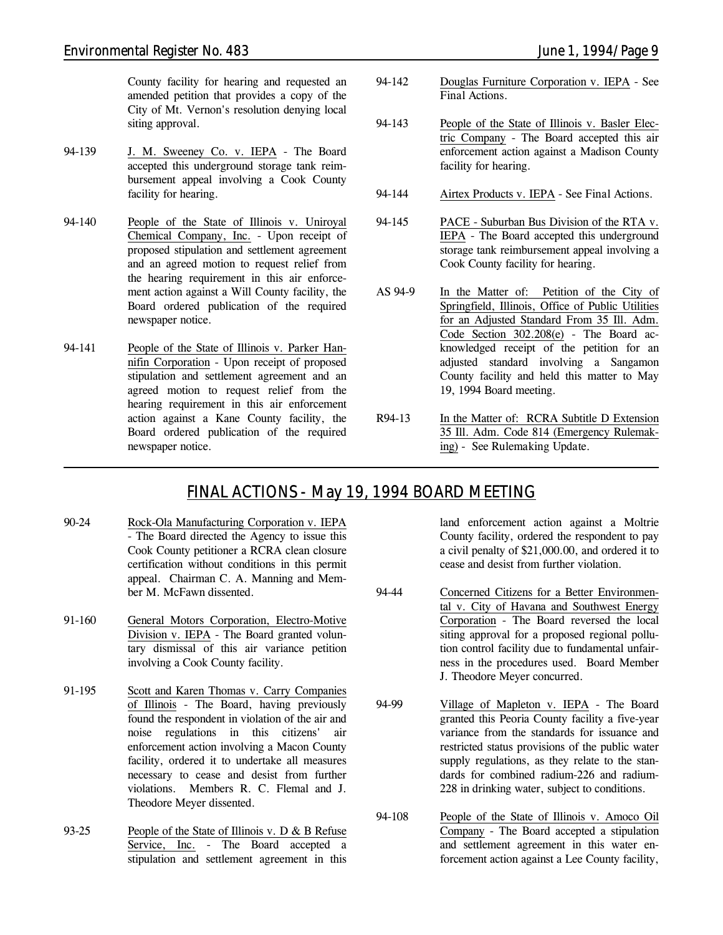County facility for hearing and requested an amended petition that provides a copy of the City of Mt. Vernon's resolution denying local siting approval.

- 94-139 J. M. Sweeney Co. v. IEPA The Board accepted this underground storage tank reimbursement appeal involving a Cook County facility for hearing.
- 94-140 People of the State of Illinois v. Uniroyal Chemical Company, Inc. - Upon receipt of proposed stipulation and settlement agreement and an agreed motion to request relief from the hearing requirement in this air enforcement action against a Will County facility, the Board ordered publication of the required newspaper notice.
- 94-141 People of the State of Illinois v. Parker Hannifin Corporation - Upon receipt of proposed stipulation and settlement agreement and an agreed motion to request relief from the hearing requirement in this air enforcement action against a Kane County facility, the Board ordered publication of the required newspaper notice.
- 94-142 Douglas Furniture Corporation v. IEPA *See Final Actions.*
- 94-143 People of the State of Illinois v. Basler Electric Company - The Board accepted this air enforcement action against a Madison County facility for hearing.
- 94-144 Airtex Products v. IEPA *See Final Actions.*
- 94-145 PACE Suburban Bus Division of the RTA v. IEPA - The Board accepted this underground storage tank reimbursement appeal involving a Cook County facility for hearing.
- AS 94-9 In the Matter of: Petition of the City of Springfield, Illinois, Office of Public Utilities for an Adjusted Standard From 35 Ill. Adm. Code Section 302.208(e) - The Board acknowledged receipt of the petition for an adjusted standard involving a Sangamon County facility and held this matter to May 19, 1994 Board meeting.
- R94-13 In the Matter of: RCRA Subtitle D Extension 35 Ill. Adm. Code 814 (Emergency Rulemaking) - *See Rulemaking Update.*

# *FINAL ACTIONS - May 19, 1994 BOARD MEETING*

- 90-24 Rock-Ola Manufacturing Corporation v. IEPA - The Board directed the Agency to issue this Cook County petitioner a RCRA clean closure certification without conditions in this permit appeal. Chairman C. A. Manning and Member M. McFawn dissented.
- 91-160 General Motors Corporation, Electro-Motive Division v. IEPA - The Board granted voluntary dismissal of this air variance petition involving a Cook County facility.
- 91-195 Scott and Karen Thomas v. Carry Companies of Illinois - The Board, having previously found the respondent in violation of the air and noise regulations in this citizens' air enforcement action involving a Macon County facility, ordered it to undertake all measures necessary to cease and desist from further violations. Members R. C. Flemal and J. Theodore Meyer dissented.
- 93-25 People of the State of Illinois v. D & B Refuse Service, Inc. - The Board accepted a stipulation and settlement agreement in this

land enforcement action against a Moltrie County facility, ordered the respondent to pay a civil penalty of \$21,000.00, and ordered it to cease and desist from further violation.

- 94-44 Concerned Citizens for a Better Environmental v. City of Havana and Southwest Energy Corporation - The Board reversed the local siting approval for a proposed regional pollution control facility due to fundamental unfairness in the procedures used. Board Member J. Theodore Meyer concurred.
- 94-99 Village of Mapleton v. IEPA The Board granted this Peoria County facility a five-year variance from the standards for issuance and restricted status provisions of the public water supply regulations, as they relate to the standards for combined radium-226 and radium-228 in drinking water, subject to conditions.
- 94-108 People of the State of Illinois v. Amoco Oil Company - The Board accepted a stipulation and settlement agreement in this water enforcement action against a Lee County facility,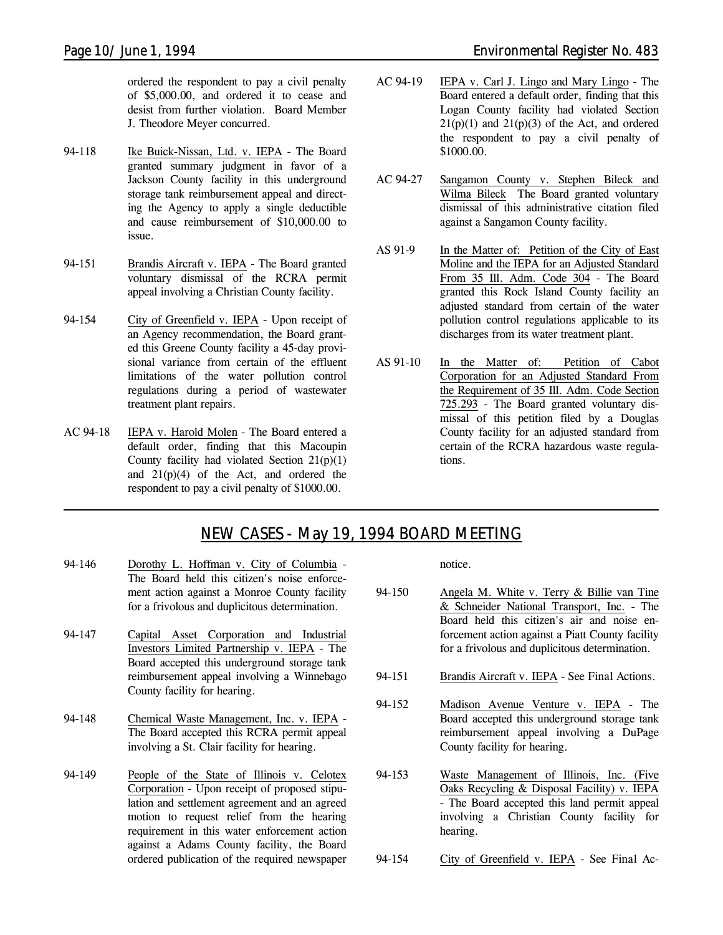ordered the respondent to pay a civil penalty of \$5,000.00, and ordered it to cease and desist from further violation. Board Member J. Theodore Meyer concurred.

- 94-118 Ike Buick-Nissan, Ltd. v. IEPA The Board granted summary judgment in favor of a Jackson County facility in this underground storage tank reimbursement appeal and directing the Agency to apply a single deductible and cause reimbursement of \$10,000.00 to issue.
- 94-151 Brandis Aircraft v. IEPA The Board granted voluntary dismissal of the RCRA permit appeal involving a Christian County facility.
- 94-154 City of Greenfield v. IEPA Upon receipt of an Agency recommendation, the Board granted this Greene County facility a 45-day provisional variance from certain of the effluent limitations of the water pollution control regulations during a period of wastewater treatment plant repairs.
- AC 94-18 IEPA v. Harold Molen The Board entered a default order, finding that this Macoupin County facility had violated Section  $21(p)(1)$ and  $21(p)(4)$  of the Act, and ordered the respondent to pay a civil penalty of \$1000.00.
- AC 94-19 IEPA v. Carl J. Lingo and Mary Lingo The Board entered a default order, finding that this Logan County facility had violated Section  $21(p)(1)$  and  $21(p)(3)$  of the Act, and ordered the respondent to pay a civil penalty of \$1000.00.
- AC 94-27 Sangamon County v. Stephen Bileck and Wilma Bileck The Board granted voluntary dismissal of this administrative citation filed against a Sangamon County facility.
- AS 91-9 In the Matter of: Petition of the City of East Moline and the IEPA for an Adjusted Standard From 35 Ill. Adm. Code 304 - The Board granted this Rock Island County facility an adjusted standard from certain of the water pollution control regulations applicable to its discharges from its water treatment plant.
- AS 91-10 In the Matter of: Petition of Cabot Corporation for an Adjusted Standard From the Requirement of 35 Ill. Adm. Code Section 725.293 - The Board granted voluntary dismissal of this petition filed by a Douglas County facility for an adjusted standard from certain of the RCRA hazardous waste regulations.

# *NEW CASES - May 19, 1994 BOARD MEETING*

- 94-146 Dorothy L. Hoffman v. City of Columbia The Board held this citizen's noise enforcement action against a Monroe County facility for a frivolous and duplicitous determination.
- 94-147 Capital Asset Corporation and Industrial Investors Limited Partnership v. IEPA - The Board accepted this underground storage tank reimbursement appeal involving a Winnebago County facility for hearing.
- 94-148 Chemical Waste Management, Inc. v. IEPA The Board accepted this RCRA permit appeal involving a St. Clair facility for hearing.
- 94-149 People of the State of Illinois v. Celotex Corporation - Upon receipt of proposed stipulation and settlement agreement and an agreed motion to request relief from the hearing requirement in this water enforcement action against a Adams County facility, the Board ordered publication of the required newspaper

notice.

- 94-150 Angela M. White v. Terry & Billie van Tine & Schneider National Transport, Inc. - The Board held this citizen's air and noise enforcement action against a Piatt County facility for a frivolous and duplicitous determination.
- 94-151 Brandis Aircraft v. IEPA *See Final Actions.*
- 94-152 Madison Avenue Venture v. IEPA The Board accepted this underground storage tank reimbursement appeal involving a DuPage County facility for hearing.
- 94-153 Waste Management of Illinois, Inc. (Five Oaks Recycling & Disposal Facility) v. IEPA - The Board accepted this land permit appeal involving a Christian County facility for hearing.
- 94-154 City of Greenfield v. IEPA *See Final Ac-*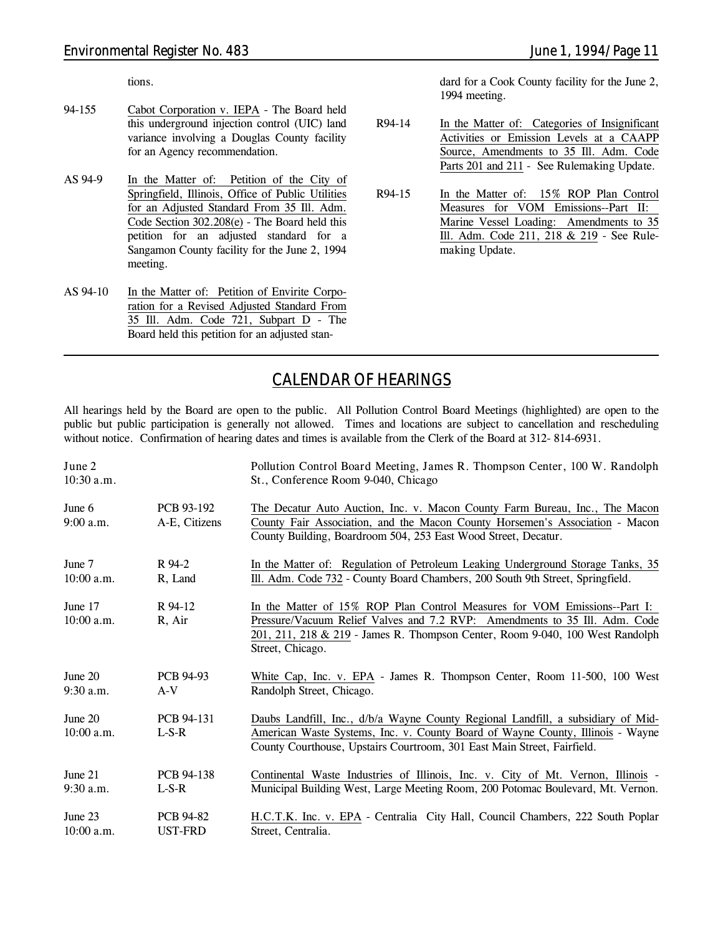*tions.*

- 94-155 Cabot Corporation v. IEPA The Board held this underground injection control (UIC) land variance involving a Douglas County facility for an Agency recommendation.
- AS 94-9 In the Matter of: Petition of the City of Springfield, Illinois, Office of Public Utilities for an Adjusted Standard From 35 Ill. Adm. Code Section 302.208(e) - The Board held this petition for an adjusted standard for a Sangamon County facility for the June 2, 1994 meeting.
- AS 94-10 In the Matter of: Petition of Envirite Corporation for a Revised Adjusted Standard From 35 Ill. Adm. Code 721, Subpart D - The Board held this petition for an adjusted stan-

dard for a Cook County facility for the June 2, 1994 meeting.

- R94-14 In the Matter of: Categories of Insignificant Activities or Emission Levels at a CAAPP Source, Amendments to 35 Ill. Adm. Code Parts 201 and 211 - *See Rulemaking Update.*
- R94-15 In the Matter of: 15% ROP Plan Control Measures for VOM Emissions--Part II: Marine Vessel Loading: Amendments to 35 Ill. Adm. Code 211, 218 & 219 - *See Rulemaking Update.*

# *CALENDAR OF HEARINGS*

All hearings held by the Board are open to the public. All Pollution Control Board Meetings (highlighted) are open to the public but public participation is generally not allowed. Times and locations are subject to cancellation and rescheduling without notice. Confirmation of hearing dates and times is available from the Clerk of the Board at 312-814-6931.

| June 2<br>$10:30$ a.m.    |                             | Pollution Control Board Meeting, James R. Thompson Center, 100 W. Randolph<br>St., Conference Room 9-040, Chicago                                                                                                                                            |
|---------------------------|-----------------------------|--------------------------------------------------------------------------------------------------------------------------------------------------------------------------------------------------------------------------------------------------------------|
| June $6$<br>$9:00$ a.m.   | PCB 93-192<br>A-E, Citizens | The Decatur Auto Auction, Inc. v. Macon County Farm Bureau, Inc., The Macon<br>County Fair Association, and the Macon County Horsemen's Association - Macon<br>County Building, Boardroom 504, 253 East Wood Street, Decatur.                                |
| June 7                    | R 94-2                      | In the Matter of: Regulation of Petroleum Leaking Underground Storage Tanks, 35                                                                                                                                                                              |
| $10:00$ a.m.              | R, Land                     | Ill. Adm. Code 732 - County Board Chambers, 200 South 9th Street, Springfield.                                                                                                                                                                               |
| June 17<br>$10:00$ a.m.   | R 94-12<br>R, Air           | In the Matter of 15% ROP Plan Control Measures for VOM Emissions--Part I:<br>Pressure/Vacuum Relief Valves and 7.2 RVP: Amendments to 35 Ill. Adm. Code<br>201, 211, 218 & 219 - James R. Thompson Center, Room 9-040, 100 West Randolph<br>Street, Chicago. |
| June 20                   | <b>PCB 94-93</b>            | White Cap, Inc. v. EPA - James R. Thompson Center, Room 11-500, 100 West                                                                                                                                                                                     |
| $9:30$ a.m.               | $A-V$                       | Randolph Street, Chicago.                                                                                                                                                                                                                                    |
| June $20$<br>$10:00$ a.m. | PCB 94-131<br>$L-S-R$       | Daubs Landfill, Inc., d/b/a Wayne County Regional Landfill, a subsidiary of Mid-<br>American Waste Systems, Inc. v. County Board of Wayne County, Illinois - Wayne<br>County Courthouse, Upstairs Courtroom, 301 East Main Street, Fairfield.                |
| June 21                   | PCB 94-138                  | Continental Waste Industries of Illinois, Inc. v. City of Mt. Vernon, Illinois -                                                                                                                                                                             |
| $9:30$ a.m.               | $L-S-R$                     | Municipal Building West, Large Meeting Room, 200 Potomac Boulevard, Mt. Vernon.                                                                                                                                                                              |
| June 23                   | <b>PCB 94-82</b>            | H.C.T.K. Inc. v. EPA - Centralia City Hall, Council Chambers, 222 South Poplar                                                                                                                                                                               |
| $10:00$ a.m.              | <b>UST-FRD</b>              | Street, Centralia.                                                                                                                                                                                                                                           |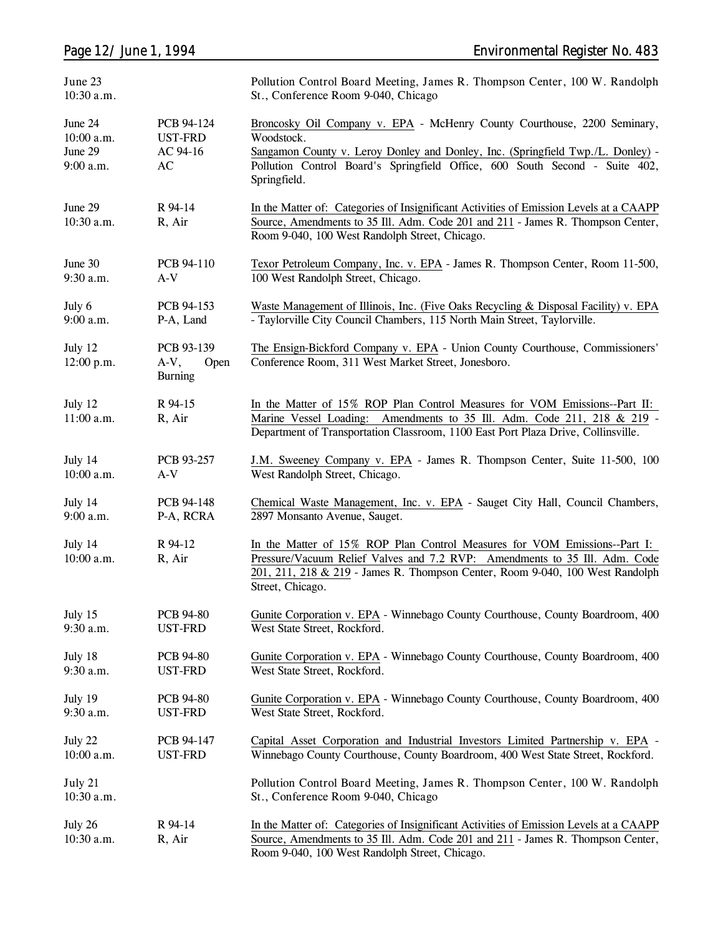| June 23<br>10:30 a.m.                         |                                                                    | Pollution Control Board Meeting, James R. Thompson Center, 100 W. Randolph<br>St., Conference Room 9-040, Chicago                                                                                                                                                        |
|-----------------------------------------------|--------------------------------------------------------------------|--------------------------------------------------------------------------------------------------------------------------------------------------------------------------------------------------------------------------------------------------------------------------|
| June 24<br>10:00 a.m.<br>June 29<br>9:00 a.m. | PCB 94-124<br><b>UST-FRD</b><br>AC 94-16<br>$\mathbf{A}\mathbf{C}$ | Broncosky Oil Company v. EPA - McHenry County Courthouse, 2200 Seminary,<br>Woodstock.<br>Sangamon County v. Leroy Donley and Donley, Inc. (Springfield Twp./L. Donley) -<br>Pollution Control Board's Springfield Office, 600 South Second - Suite 402,<br>Springfield. |
| June 29<br>10:30 a.m.                         | R 94-14<br>R, Air                                                  | In the Matter of: Categories of Insignificant Activities of Emission Levels at a CAAPP<br>Source, Amendments to 35 Ill. Adm. Code 201 and 211 - James R. Thompson Center,<br>Room 9-040, 100 West Randolph Street, Chicago.                                              |
| June 30                                       | PCB 94-110                                                         | Texor Petroleum Company, Inc. v. EPA - James R. Thompson Center, Room 11-500,                                                                                                                                                                                            |
| 9:30 a.m.                                     | $A-V$                                                              | 100 West Randolph Street, Chicago.                                                                                                                                                                                                                                       |
| July 6                                        | PCB 94-153                                                         | Waste Management of Illinois, Inc. (Five Oaks Recycling & Disposal Facility) v. EPA                                                                                                                                                                                      |
| 9:00 a.m.                                     | P-A, Land                                                          | - Taylorville City Council Chambers, 115 North Main Street, Taylorville.                                                                                                                                                                                                 |
| July 12<br>12:00 p.m.                         | PCB 93-139<br>A-V,<br>Open<br><b>Burning</b>                       | The Ensign-Bickford Company v. EPA - Union County Courthouse, Commissioners'<br>Conference Room, 311 West Market Street, Jonesboro.                                                                                                                                      |
| July 12<br>11:00 a.m.                         | R 94-15<br>R, Air                                                  | In the Matter of 15% ROP Plan Control Measures for VOM Emissions--Part II:<br>Marine Vessel Loading: Amendments to 35 Ill. Adm. Code 211, 218 & 219 -<br>Department of Transportation Classroom, 1100 East Port Plaza Drive, Collinsville.                               |
| July 14                                       | PCB 93-257                                                         | J.M. Sweeney Company v. EPA - James R. Thompson Center, Suite 11-500, 100                                                                                                                                                                                                |
| 10:00 a.m.                                    | $A-V$                                                              | West Randolph Street, Chicago.                                                                                                                                                                                                                                           |
| July 14                                       | PCB 94-148                                                         | Chemical Waste Management, Inc. v. EPA - Sauget City Hall, Council Chambers,                                                                                                                                                                                             |
| 9:00 a.m.                                     | P-A, RCRA                                                          | 2897 Monsanto Avenue, Sauget.                                                                                                                                                                                                                                            |
| July 14<br>10:00 a.m.                         | R 94-12<br>R, Air                                                  | In the Matter of 15% ROP Plan Control Measures for VOM Emissions--Part I:<br>Pressure/Vacuum Relief Valves and 7.2 RVP: Amendments to 35 Ill. Adm. Code<br>201, 211, 218 & 219 - James R. Thompson Center, Room 9-040, 100 West Randolph<br>Street, Chicago.             |
| July 15                                       | PCB 94-80                                                          | Gunite Corporation v. EPA - Winnebago County Courthouse, County Boardroom, 400                                                                                                                                                                                           |
| 9:30 a.m.                                     | <b>UST-FRD</b>                                                     | West State Street, Rockford.                                                                                                                                                                                                                                             |
| July 18                                       | PCB 94-80                                                          | Gunite Corporation v. EPA - Winnebago County Courthouse, County Boardroom, 400                                                                                                                                                                                           |
| 9:30 a.m.                                     | <b>UST-FRD</b>                                                     | West State Street, Rockford.                                                                                                                                                                                                                                             |
| July 19                                       | <b>PCB 94-80</b>                                                   | Gunite Corporation v. EPA - Winnebago County Courthouse, County Boardroom, 400                                                                                                                                                                                           |
| 9:30 a.m.                                     | <b>UST-FRD</b>                                                     | West State Street, Rockford.                                                                                                                                                                                                                                             |
| July 22                                       | PCB 94-147                                                         | Capital Asset Corporation and Industrial Investors Limited Partnership v. EPA -                                                                                                                                                                                          |
| 10:00 a.m.                                    | <b>UST-FRD</b>                                                     | Winnebago County Courthouse, County Boardroom, 400 West State Street, Rockford.                                                                                                                                                                                          |
| July 21<br>10:30 a.m.                         |                                                                    | Pollution Control Board Meeting, James R. Thompson Center, 100 W. Randolph<br>St., Conference Room 9-040, Chicago                                                                                                                                                        |
| July 26<br>10:30 a.m.                         | R 94-14<br>R, Air                                                  | In the Matter of: Categories of Insignificant Activities of Emission Levels at a CAAPP<br>Source, Amendments to 35 Ill. Adm. Code 201 and 211 - James R. Thompson Center,<br>Room 9-040, 100 West Randolph Street, Chicago.                                              |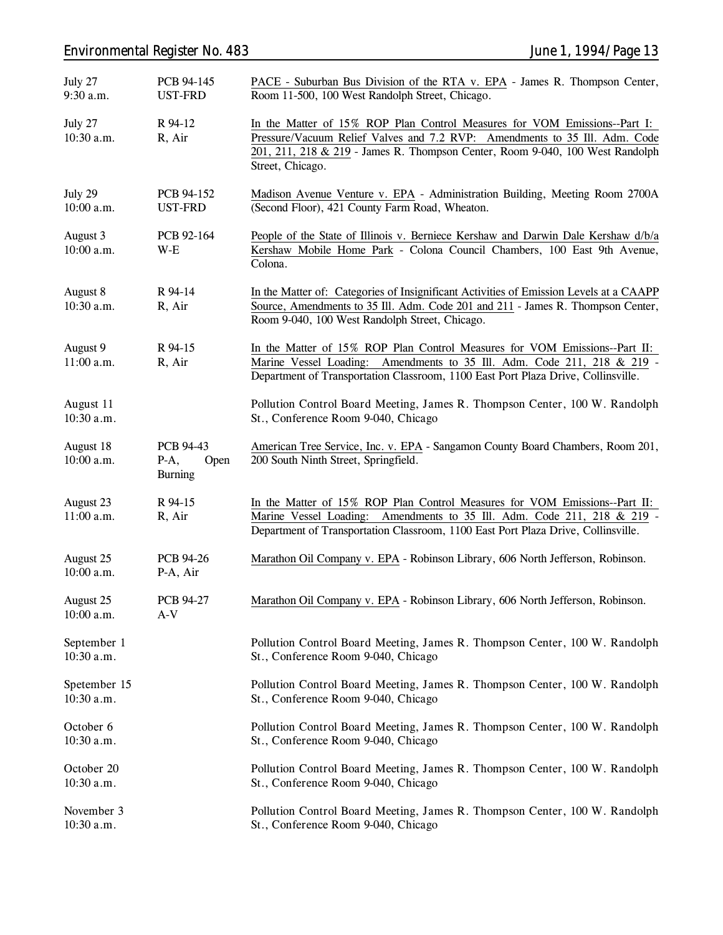# *Environmental Register No. 483 June 1, 1994/Page 13*

| July 27<br>9:30 a.m.       | PCB 94-145<br><b>UST-FRD</b>                  | PACE - Suburban Bus Division of the RTA v. EPA - James R. Thompson Center,<br>Room 11-500, 100 West Randolph Street, Chicago.                                                                                                                                |
|----------------------------|-----------------------------------------------|--------------------------------------------------------------------------------------------------------------------------------------------------------------------------------------------------------------------------------------------------------------|
| July 27<br>10:30 a.m.      | R 94-12<br>R, Air                             | In the Matter of 15% ROP Plan Control Measures for VOM Emissions--Part I:<br>Pressure/Vacuum Relief Valves and 7.2 RVP: Amendments to 35 Ill. Adm. Code<br>201, 211, 218 & 219 - James R. Thompson Center, Room 9-040, 100 West Randolph<br>Street, Chicago. |
| July 29<br>10:00 a.m.      | PCB 94-152<br>UST-FRD                         | Madison Avenue Venture v. EPA - Administration Building, Meeting Room 2700A<br>(Second Floor), 421 County Farm Road, Wheaton.                                                                                                                                |
| August 3<br>10:00 a.m.     | PCB 92-164<br>$W-E$                           | People of the State of Illinois v. Berniece Kershaw and Darwin Dale Kershaw d/b/a<br>Kershaw Mobile Home Park - Colona Council Chambers, 100 East 9th Avenue,<br>Colona.                                                                                     |
| August 8<br>10:30 a.m.     | R 94-14<br>R, Air                             | In the Matter of: Categories of Insignificant Activities of Emission Levels at a CAAPP<br>Source, Amendments to 35 Ill. Adm. Code 201 and 211 - James R. Thompson Center,<br>Room 9-040, 100 West Randolph Street, Chicago.                                  |
| August 9<br>11:00 a.m.     | R 94-15<br>R, Air                             | In the Matter of 15% ROP Plan Control Measures for VOM Emissions--Part II:<br>Marine Vessel Loading: Amendments to 35 Ill. Adm. Code 211, 218 & 219 -<br>Department of Transportation Classroom, 1100 East Port Plaza Drive, Collinsville.                   |
| August 11<br>10:30 a.m.    |                                               | Pollution Control Board Meeting, James R. Thompson Center, 100 W. Randolph<br>St., Conference Room 9-040, Chicago                                                                                                                                            |
| August 18<br>10:00 a.m.    | PCB 94-43<br>$P-A,$<br>Open<br><b>Burning</b> | American Tree Service, Inc. v. EPA - Sangamon County Board Chambers, Room 201,<br>200 South Ninth Street, Springfield.                                                                                                                                       |
| August 23<br>11:00 a.m.    | R 94-15<br>R, Air                             | In the Matter of 15% ROP Plan Control Measures for VOM Emissions--Part II:<br>Marine Vessel Loading: Amendments to 35 Ill. Adm. Code 211, 218 & 219 -<br>Department of Transportation Classroom, 1100 East Port Plaza Drive, Collinsville.                   |
| August 25<br>10:00 a.m.    | <b>PCB 94-26</b><br>P-A, Air                  | Marathon Oil Company v. EPA - Robinson Library, 606 North Jefferson, Robinson.                                                                                                                                                                               |
| August 25<br>10:00 a.m.    | <b>PCB 94-27</b><br>$A-V$                     | Marathon Oil Company v. EPA - Robinson Library, 606 North Jefferson, Robinson.                                                                                                                                                                               |
| September 1<br>10:30 a.m.  |                                               | Pollution Control Board Meeting, James R. Thompson Center, 100 W. Randolph<br>St., Conference Room 9-040, Chicago                                                                                                                                            |
| Spetember 15<br>10:30 a.m. |                                               | Pollution Control Board Meeting, James R. Thompson Center, 100 W. Randolph<br>St., Conference Room 9-040, Chicago                                                                                                                                            |
| October 6<br>10:30 a.m.    |                                               | Pollution Control Board Meeting, James R. Thompson Center, 100 W. Randolph<br>St., Conference Room 9-040, Chicago                                                                                                                                            |
| October 20<br>10:30 a.m.   |                                               | Pollution Control Board Meeting, James R. Thompson Center, 100 W. Randolph<br>St., Conference Room 9-040, Chicago                                                                                                                                            |
| November 3<br>10:30 a.m.   |                                               | Pollution Control Board Meeting, James R. Thompson Center, 100 W. Randolph<br>St., Conference Room 9-040, Chicago                                                                                                                                            |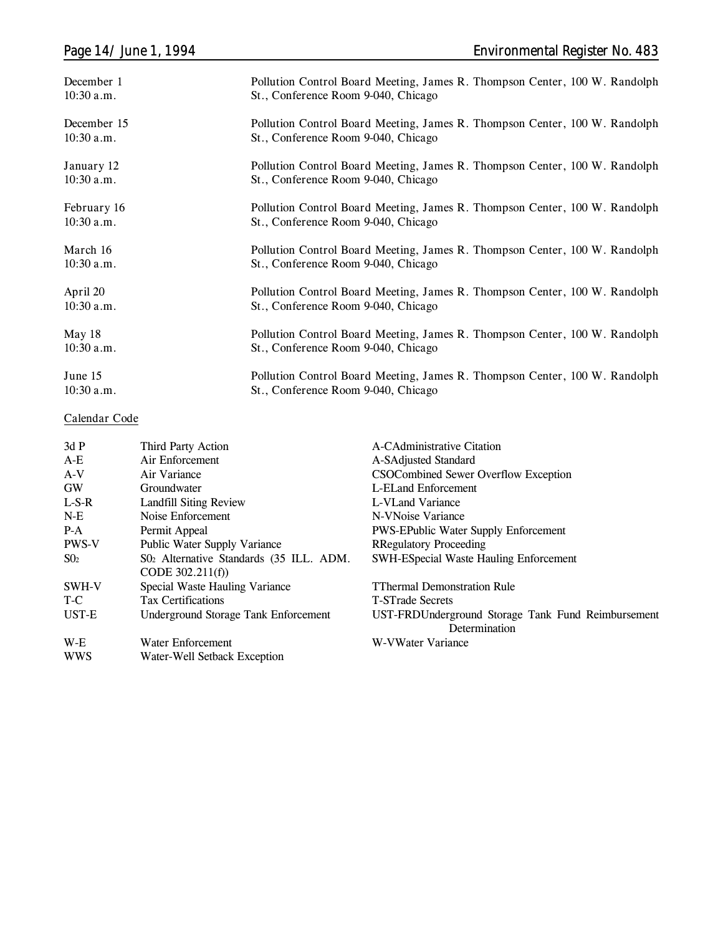| December 1   | Pollution Control Board Meeting, James R. Thompson Center, 100 W. Randolph |
|--------------|----------------------------------------------------------------------------|
| $10:30$ a.m. | St., Conference Room 9-040, Chicago                                        |
| December 15  | Pollution Control Board Meeting, James R. Thompson Center, 100 W. Randolph |
| $10:30$ a.m. | St., Conference Room 9-040, Chicago                                        |
| January 12   | Pollution Control Board Meeting, James R. Thompson Center, 100 W. Randolph |
| $10:30$ a.m. | St., Conference Room 9-040, Chicago                                        |
| February 16  | Pollution Control Board Meeting, James R. Thompson Center, 100 W. Randolph |
| $10:30$ a.m. | St., Conference Room 9-040, Chicago                                        |
| March 16     | Pollution Control Board Meeting, James R. Thompson Center, 100 W. Randolph |
| $10:30$ a.m. | St., Conference Room 9-040, Chicago                                        |
| April 20     | Pollution Control Board Meeting, James R. Thompson Center, 100 W. Randolph |
| $10:30$ a.m. | St., Conference Room 9-040, Chicago                                        |
| May 18       | Pollution Control Board Meeting, James R. Thompson Center, 100 W. Randolph |
| $10:30$ a.m. | St., Conference Room 9-040, Chicago                                        |
| June 15      | Pollution Control Board Meeting, James R. Thompson Center, 100 W. Randolph |
| $10:30$ a.m. | St., Conference Room 9-040, Chicago                                        |

### **Calendar Code**

| Third Party Action                      | A-CAdministrative Citation                         |
|-----------------------------------------|----------------------------------------------------|
| Air Enforcement                         | A-SAdjusted Standard                               |
| Air Variance                            | CSOCombined Sewer Overflow Exception               |
| Groundwater                             | L-ELand Enforcement                                |
|                                         | L-VLand Variance                                   |
| Noise Enforcement                       | N-VNoise Variance                                  |
| Permit Appeal                           | <b>PWS-EPublic Water Supply Enforcement</b>        |
| Public Water Supply Variance            | <b>RRegulatory Proceeding</b>                      |
| S02 Alternative Standards (35 ILL. ADM. | <b>SWH-ESpecial Waste Hauling Enforcement</b>      |
| CODE $302.211(f)$                       |                                                    |
| Special Waste Hauling Variance          | <b>TThermal Demonstration Rule</b>                 |
| <b>Tax Certifications</b>               | <b>T-STrade Secrets</b>                            |
| Underground Storage Tank Enforcement    | UST-FRDUnderground Storage Tank Fund Reimbursement |
|                                         | Determination                                      |
| Water Enforcement                       | W-VWater Variance                                  |
| Water-Well Setback Exception            |                                                    |
|                                         | <b>Landfill Siting Review</b>                      |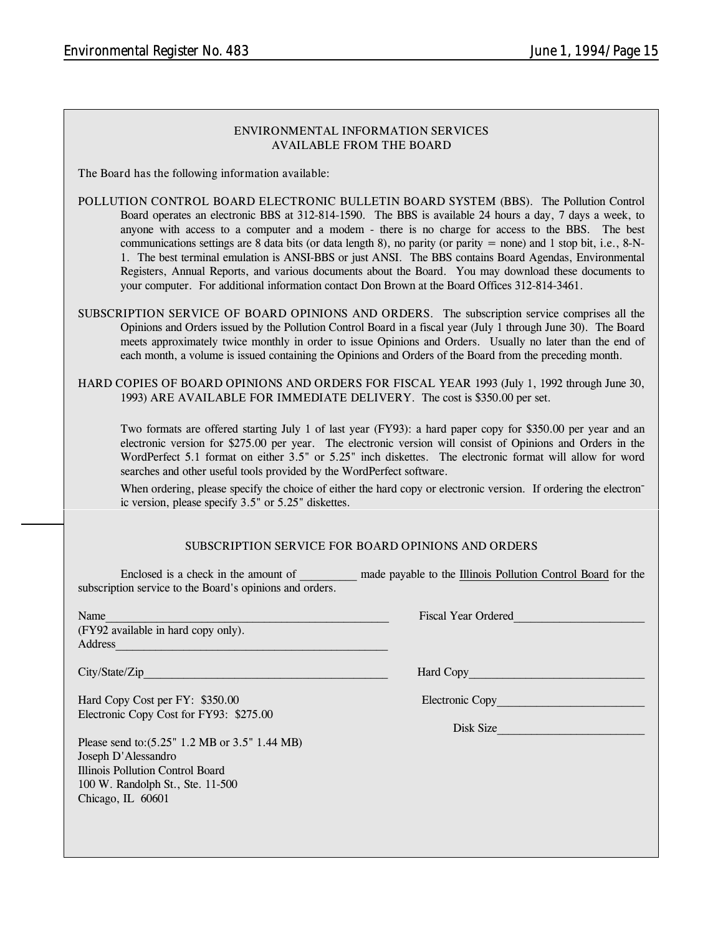| ENVIRONMENTAL INFORMATION SERVICES |
|------------------------------------|
| AVAILABLE FROM THE BOARD           |

**The Board has the following information available:**

- **POLLUTION CONTROL BOARD ELECTRONIC BULLETIN BOARD SYSTEM (BBS).** The Pollution Control Board operates an electronic BBS at 312-814-1590. The BBS is available 24 hours a day, 7 days a week, to anyone with access to a computer and a modem - there is no charge for access to the BBS. The best communications settings are 8 data bits (or data length 8), no parity (or parity  $=$  none) and 1 stop bit, i.e., 8-N-1. The best terminal emulation is ANSI-BBS or just ANSI. The BBS contains Board Agendas, Environmental Registers, Annual Reports, and various documents about the Board. You may download these documents to your computer. For additional information contact Don Brown at the Board Offices 312-814-3461.
- **SUBSCRIPTION SERVICE OF BOARD OPINIONS AND ORDERS.** The subscription service comprises all the Opinions and Orders issued by the Pollution Control Board in a fiscal year (July 1 through June 30). The Board meets approximately twice monthly in order to issue Opinions and Orders. Usually no later than the end of each month, a volume is issued containing the Opinions and Orders of the Board from the preceding month.

**HARD COPIES OF BOARD OPINIONS AND ORDERS FOR FISCAL YEAR 1993** (July 1, 1992 through June 30, 1993) **ARE AVAILABLE FOR IMMEDIATE DELIVERY.** The cost is \$350.00 per set.

Two formats are offered starting July 1 of last year (FY93): a hard paper copy for \$350.00 per year and an electronic version for \$275.00 per year. The electronic version will consist of Opinions and Orders in the WordPerfect 5.1 format on either 3.5" or 5.25" inch diskettes. The electronic format will allow for word searches and other useful tools provided by the WordPerfect software.

When ordering, please specify the choice of either the hard copy or electronic version. If ordering the electronic version, please specify 3.5" or 5.25" diskettes.

#### **SUBSCRIPTION SERVICE FOR BOARD OPINIONS AND ORDERS**

| Enclosed is a check in the amount of                     | made payable to the Illinois Pollution Control Board for the |  |  |  |
|----------------------------------------------------------|--------------------------------------------------------------|--|--|--|
| subscription service to the Board's opinions and orders. |                                                              |  |  |  |

| Name                                |  |
|-------------------------------------|--|
| (FY92 available in hard copy only). |  |
| Address                             |  |
|                                     |  |

City/State/Zip **Example 2018** Hard Copy

Hard Copy Cost per FY: \$350.00 Electronic Copy Electronic Copy Cost for FY93: \$275.00

Please send to:(5.25" 1.2 MB or 3.5" 1.44 MB) Joseph D'Alessandro Illinois Pollution Control Board 100 W. Randolph St., Ste. 11-500 Chicago, IL 60601

Fiscal Year Ordered

Disk Size